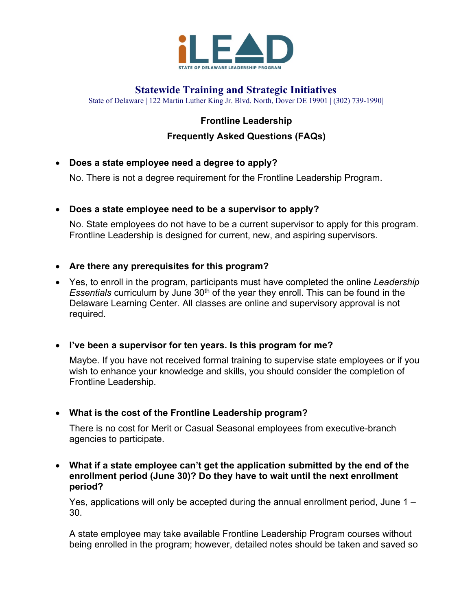

# **Statewide Training and Strategic Initiatives**

State of Delaware | 122 Martin Luther King Jr. Blvd. North, Dover DE 19901 | (302) 739-1990|

# **Frontline Leadership**

## **Frequently Asked Questions (FAQs)**

• **Does a state employee need a degree to apply?**

No. There is not a degree requirement for the Frontline Leadership Program.

### • **Does a state employee need to be a supervisor to apply?**

No. State employees do not have to be a current supervisor to apply for this program. Frontline Leadership is designed for current, new, and aspiring supervisors.

### • **Are there any prerequisites for this program?**

• Yes, to enroll in the program, participants must have completed the online *Leadership Essentials* curriculum by June 30<sup>th</sup> of the year they enroll. This can be found in the Delaware Learning Center. All classes are online and supervisory approval is not required.

### • **I've been a supervisor for ten years. Is this program for me?**

Maybe. If you have not received formal training to supervise state employees or if you wish to enhance your knowledge and skills, you should consider the completion of Frontline Leadership.

• **What is the cost of the Frontline Leadership program?**

There is no cost for Merit or Casual Seasonal employees from executive-branch agencies to participate.

• **What if a state employee can't get the application submitted by the end of the enrollment period (June 30)? Do they have to wait until the next enrollment period?**

Yes, applications will only be accepted during the annual enrollment period, June 1 – 30.

A state employee may take available Frontline Leadership Program courses without being enrolled in the program; however, detailed notes should be taken and saved so